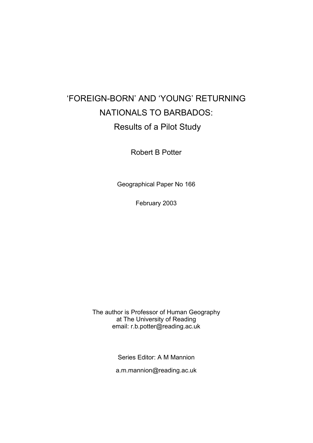# 'FOREIGN-BORN' AND 'YOUNG' RETURNING NATIONALS TO BARBADOS: Results of a Pilot Study

Robert B Potter

Geographical Paper No 166

February 2003

The author is Professor of Human Geography at The University of Reading email: r.b.potter@reading.ac.uk

Series Editor: A M Mannion

a.m.mannion@reading.ac.uk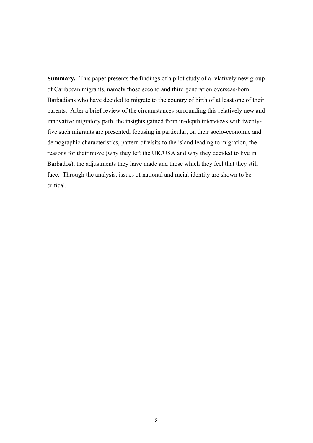**Summary.-** This paper presents the findings of a pilot study of a relatively new group of Caribbean migrants, namely those second and third generation overseas-born Barbadians who have decided to migrate to the country of birth of at least one of their parents. After a brief review of the circumstances surrounding this relatively new and innovative migratory path, the insights gained from in-depth interviews with twentyfive such migrants are presented, focusing in particular, on their socio-economic and demographic characteristics, pattern of visits to the island leading to migration, the reasons for their move (why they left the UK/USA and why they decided to live in Barbados), the adjustments they have made and those which they feel that they still face. Through the analysis, issues of national and racial identity are shown to be critical.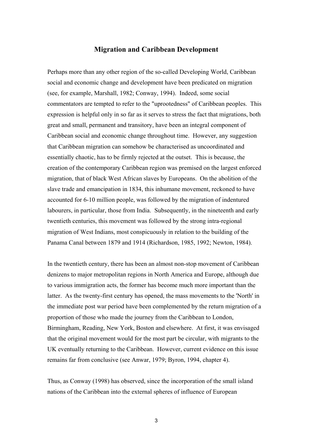#### **Migration and Caribbean Development**

Perhaps more than any other region of the so-called Developing World, Caribbean social and economic change and development have been predicated on migration (see, for example, Marshall, 1982; Conway, 1994). Indeed, some social commentators are tempted to refer to the "uprootedness" of Caribbean peoples. This expression is helpful only in so far as it serves to stress the fact that migrations, both great and small, permanent and transitory, have been an integral component of Caribbean social and economic change throughout time. However, any suggestion that Caribbean migration can somehow be characterised as uncoordinated and essentially chaotic, has to be firmly rejected at the outset. This is because, the creation of the contemporary Caribbean region was premised on the largest enforced migration, that of black West African slaves by Europeans. On the abolition of the slave trade and emancipation in 1834, this inhumane movement, reckoned to have accounted for 6-10 million people, was followed by the migration of indentured labourers, in particular, those from India. Subsequently, in the nineteenth and early twentieth centuries, this movement was followed by the strong intra-regional migration of West Indians, most conspicuously in relation to the building of the Panama Canal between 1879 and 1914 (Richardson, 1985, 1992; Newton, 1984).

In the twentieth century, there has been an almost non-stop movement of Caribbean denizens to major metropolitan regions in North America and Europe, although due to various immigration acts, the former has become much more important than the latter. As the twenty-first century has opened, the mass movements to the 'North' in the immediate post war period have been complemented by the return migration of a proportion of those who made the journey from the Caribbean to London, Birmingham, Reading, New York, Boston and elsewhere. At first, it was envisaged that the original movement would for the most part be circular, with migrants to the UK eventually returning to the Caribbean. However, current evidence on this issue remains far from conclusive (see Anwar, 1979; Byron, 1994, chapter 4).

Thus, as Conway (1998) has observed, since the incorporation of the small island nations of the Caribbean into the external spheres of influence of European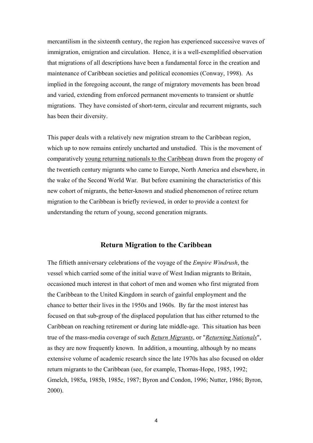mercantilism in the sixteenth century, the region has experienced successive waves of immigration, emigration and circulation. Hence, it is a well-exemplified observation that migrations of all descriptions have been a fundamental force in the creation and maintenance of Caribbean societies and political economies (Conway, 1998). As implied in the foregoing account, the range of migratory movements has been broad and varied, extending from enforced permanent movements to transient or shuttle migrations. They have consisted of short-term, circular and recurrent migrants, such has been their diversity.

This paper deals with a relatively new migration stream to the Caribbean region, which up to now remains entirely uncharted and unstudied. This is the movement of comparatively young returning nationals to the Caribbean drawn from the progeny of the twentieth century migrants who came to Europe, North America and elsewhere, in the wake of the Second World War. But before examining the characteristics of this new cohort of migrants, the better-known and studied phenomenon of retiree return migration to the Caribbean is briefly reviewed, in order to provide a context for understanding the return of young, second generation migrants.

#### **Return Migration to the Caribbean**

The fiftieth anniversary celebrations of the voyage of the *Empire Windrush*, the vessel which carried some of the initial wave of West Indian migrants to Britain, occasioned much interest in that cohort of men and women who first migrated from the Caribbean to the United Kingdom in search of gainful employment and the chance to better their lives in the 1950s and 1960s. By far the most interest has focused on that sub-group of the displaced population that has either returned to the Caribbean on reaching retirement or during late middle-age. This situation has been true of the mass-media coverage of such *Return Migrants*, or "*Returning Nationals*", as they are now frequently known. In addition, a mounting, although by no means extensive volume of academic research since the late 1970s has also focused on older return migrants to the Caribbean (see, for example, Thomas-Hope, 1985, 1992; Gmelch, 1985a, 1985b, 1985c, 1987; Byron and Condon, 1996; Nutter, 1986; Byron, 2000).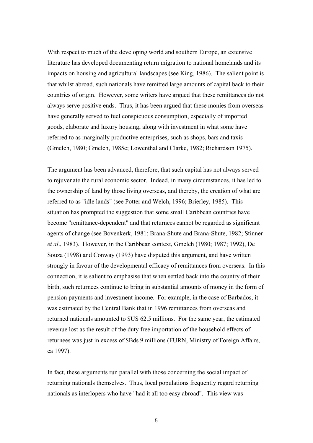With respect to much of the developing world and southern Europe, an extensive literature has developed documenting return migration to national homelands and its impacts on housing and agricultural landscapes (see King, 1986). The salient point is that whilst abroad, such nationals have remitted large amounts of capital back to their countries of origin. However, some writers have argued that these remittances do not always serve positive ends. Thus, it has been argued that these monies from overseas have generally served to fuel conspicuous consumption, especially of imported goods, elaborate and luxury housing, along with investment in what some have referred to as marginally productive enterprises, such as shops, bars and taxis (Gmelch, 1980; Gmelch, 1985c; Lowenthal and Clarke, 1982; Richardson 1975).

The argument has been advanced, therefore, that such capital has not always served to rejuvenate the rural economic sector. Indeed, in many circumstances, it has led to the ownership of land by those living overseas, and thereby, the creation of what are referred to as "idle lands" (see Potter and Welch, 1996; Brierley, 1985). This situation has prompted the suggestion that some small Caribbean countries have become "remittance-dependent" and that returnees cannot be regarded as significant agents of change (see Bovenkerk, 1981; Brana-Shute and Brana-Shute, 1982; Stinner *et al*., 1983). However, in the Caribbean context, Gmelch (1980; 1987; 1992), De Souza (1998) and Conway (1993) have disputed this argument, and have written strongly in favour of the developmental efficacy of remittances from overseas. In this connection, it is salient to emphasise that when settled back into the country of their birth, such returnees continue to bring in substantial amounts of money in the form of pension payments and investment income. For example, in the case of Barbados, it was estimated by the Central Bank that in 1996 remittances from overseas and returned nationals amounted to \$US 62.5 millions. For the same year, the estimated revenue lost as the result of the duty free importation of the household effects of returnees was just in excess of \$Bds 9 millions (FURN, Ministry of Foreign Affairs, ca 1997).

In fact, these arguments run parallel with those concerning the social impact of returning nationals themselves. Thus, local populations frequently regard returning nationals as interlopers who have "had it all too easy abroad". This view was

5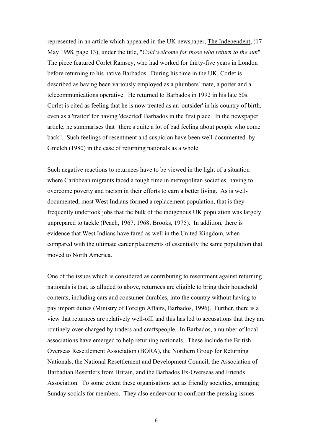represented in an article which appeared in the UK newspaper, The Independent, (17 May 1998, page 13), under the title, "*Cold welcome for those who return to the sun*". The piece featured Corlet Ramsey, who had worked for thirty-five years in London before returning to his native Barbados. During his time in the UK, Corlet is described as having been variously employed as a plumbers' mate, a porter and a telecommunications operative. He returned to Barbados in 1992 in his late 50s. Corlet is cited as feeling that he is now treated as an 'outsider' in his country of birth, even as a 'traitor' for having 'deserted' Barbados in the first place. In the newspaper article, he summarises that "there's quite a lot of bad feeling about people who come back". Such feelings of resentment and suspicion have been well-documented by Gmelch (1980) in the case of returning nationals as a whole.

Such negative reactions to returnees have to be viewed in the light of a situation where Caribbean migrants faced a tough time in metropolitan societies, having to overcome poverty and racism in their efforts to earn a better living. As is welldocumented, most West Indians formed a replacement population, that is they frequently undertook jobs that the bulk of the indigenous UK population was largely unprepared to tackle (Peach, 1967, 1968; Brooks, 1975). In addition, there is evidence that West Indians have fared as well in the United Kingdom, when compared with the ultimate career placements of essentially the same population that moved to North America.

One of the issues which is considered as contributing to resentment against returning nationals is that, as alluded to above, returnees are eligible to bring their household contents, including cars and consumer durables, into the country without having to pay import duties (Ministry of Foreign Affairs, Barbados, 1996). Further, there is a view that returnees are relatively well-off, and this has led to accusations that they are routinely over-charged by traders and craftspeople. In Barbados, a number of local associations have emerged to help returning nationals. These include the British Overseas Resettlement Association (BORA), the Northern Group for Returning Nationals, the National Resettlement and Development Council, the Association of Barbadian Resettlers from Britain, and the Barbados Ex-Overseas and Friends Association. To some extent these organisations act as friendly societies, arranging Sunday socials for members. They also endeavour to confront the pressing issues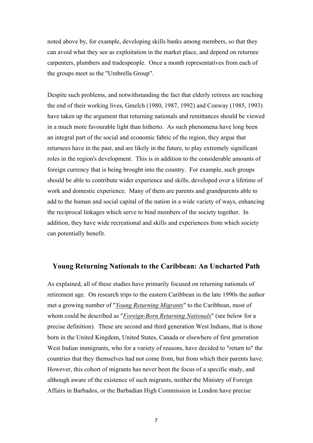noted above by, for example, developing skills banks among members, so that they can avoid what they see as exploitation in the market place, and depend on returnee carpenters, plumbers and tradespeople. Once a month representatives from each of the groups meet as the "Umbrella Group".

Despite such problems, and notwithstanding the fact that elderly retirees are reaching the end of their working lives, Gmelch (1980, 1987, 1992) and Conway (1985, 1993) have taken up the argument that returning nationals and remittances should be viewed in a much more favourable light than hitherto. As such phenomena have long been an integral part of the social and economic fabric of the region, they argue that returnees have in the past, and are likely in the future, to play extremely significant roles in the region's development. This is in addition to the considerable amounts of foreign currency that is being brought into the country. For example, such groups should be able to contribute wider experience and skills, developed over a lifetime of work and domestic experience. Many of them are parents and grandparents able to add to the human and social capital of the nation in a wide variety of ways, enhancing the reciprocal linkages which serve to bind members of the society together. In addition, they have wide recreational and skills and experiences from which society can potentially benefit.

#### **Young Returning Nationals to the Caribbean: An Uncharted Path**

As explained, all of these studies have primarily focused on returning nationals of retirement age. On research trips to the eastern Caribbean in the late 1990s the author met a growing number of "*Young Returning Migrants*" to the Caribbean, most of whom could be described as "*Foreign-Born Returning Nationals*" (see below for a precise definition). These are second and third generation West Indians, that is those born in the United Kingdom, United States, Canada or elsewhere of first generation West Indian immigrants, who for a variety of reasons, have decided to "return to" the countries that they themselves had not come from, but from which their parents have. However, this cohort of migrants has never been the focus of a specific study, and although aware of the existence of such migrants, neither the Ministry of Foreign Affairs in Barbados, or the Barbadian High Commission in London have precise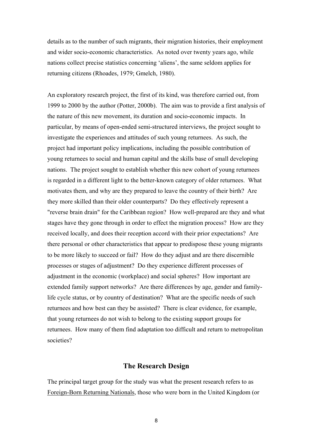details as to the number of such migrants, their migration histories, their employment and wider socio-economic characteristics. As noted over twenty years ago, while nations collect precise statistics concerning 'aliens', the same seldom applies for returning citizens (Rhoades, 1979; Gmelch, 1980).

An exploratory research project, the first of its kind, was therefore carried out, from 1999 to 2000 by the author (Potter, 2000b). The aim was to provide a first analysis of the nature of this new movement, its duration and socio-economic impacts. In particular, by means of open-ended semi-structured interviews, the project sought to investigate the experiences and attitudes of such young returnees. As such, the project had important policy implications, including the possible contribution of young returnees to social and human capital and the skills base of small developing nations. The project sought to establish whether this new cohort of young returnees is regarded in a different light to the better-known category of older returnees. What motivates them, and why are they prepared to leave the country of their birth? Are they more skilled than their older counterparts? Do they effectively represent a "reverse brain drain" for the Caribbean region? How well-prepared are they and what stages have they gone through in order to effect the migration process? How are they received locally, and does their reception accord with their prior expectations? Are there personal or other characteristics that appear to predispose these young migrants to be more likely to succeed or fail? How do they adjust and are there discernible processes or stages of adjustment? Do they experience different processes of adjustment in the economic (workplace) and social spheres? How important are extended family support networks? Are there differences by age, gender and familylife cycle status, or by country of destination? What are the specific needs of such returnees and how best can they be assisted? There is clear evidence, for example, that young returnees do not wish to belong to the existing support groups for returnees. How many of them find adaptation too difficult and return to metropolitan societies?

#### **The Research Design**

The principal target group for the study was what the present research refers to as Foreign-Born Returning Nationals, those who were born in the United Kingdom (or

8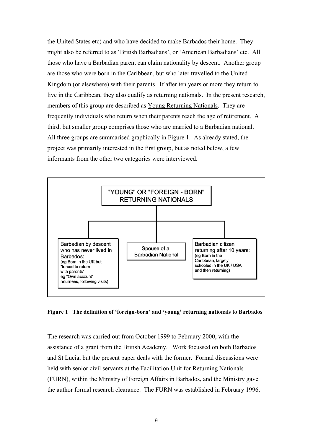the United States etc) and who have decided to make Barbados their home. They might also be referred to as 'British Barbadians', or 'American Barbadians' etc. All those who have a Barbadian parent can claim nationality by descent. Another group are those who were born in the Caribbean, but who later travelled to the United Kingdom (or elsewhere) with their parents. If after ten years or more they return to live in the Caribbean, they also qualify as returning nationals. In the present research, members of this group are described as Young Returning Nationals. They are frequently individuals who return when their parents reach the age of retirement. A third, but smaller group comprises those who are married to a Barbadian national. All three groups are summarised graphically in Figure 1. As already stated, the project was primarily interested in the first group, but as noted below, a few informants from the other two categories were interviewed.



**Figure 1 The definition of 'foreign-born' and 'young' returning nationals to Barbados**

The research was carried out from October 1999 to February 2000, with the assistance of a grant from the British Academy. Work focussed on both Barbados and St Lucia, but the present paper deals with the former. Formal discussions were held with senior civil servants at the Facilitation Unit for Returning Nationals (FURN), within the Ministry of Foreign Affairs in Barbados, and the Ministry gave the author formal research clearance. The FURN was established in February 1996,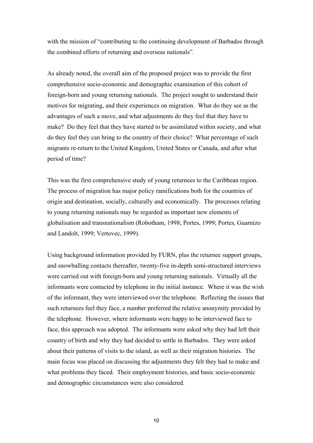with the mission of "contributing to the continuing development of Barbados through the combined efforts of returning and overseas nationals".

As already noted, the overall aim of the proposed project was to provide the first comprehensive socio-economic and demographic examination of this cohort of foreign-born and young returning nationals. The project sought to understand their motives for migrating, and their experiences on migration. What do they see as the advantages of such a move, and what adjustments do they feel that they have to make? Do they feel that they have started to be assimilated within society, and what do they feel they can bring to the country of their choice? What percentage of such migrants re-return to the United Kingdom, United States or Canada, and after what period of time?

This was the first comprehensive study of young returnees to the Caribbean region. The process of migration has major policy ramifications both for the countries of origin and destination, socially, culturally and economically. The processes relating to young returning nationals may be regarded as important new elements of globalisation and transnationalism (Robotham, 1998; Portes, 1999; Portes, Guarnizo and Landolt, 1999; Vertovec, 1999).

Using background information provided by FURN, plus the returnee support groups, and snowballing contacts thereafter, twenty-five in-depth semi-structured interviews were carried out with foreign-born and young returning nationals. Virtually all the informants were contacted by telephone in the initial instance. Where it was the wish of the informant, they were interviewed over the telephone. Reflecting the issues that such returnees feel they face, a number preferred the relative anonymity provided by the telephone. However, where informants were happy to be interviewed face to face, this approach was adopted. The informants were asked why they had left their country of birth and why they had decided to settle in Barbados. They were asked about their patterns of visits to the island, as well as their migration histories. The main focus was placed on discussing the adjustments they felt they had to make and what problems they faced. Their employment histories, and basic socio-economic and demographic circumstances were also considered.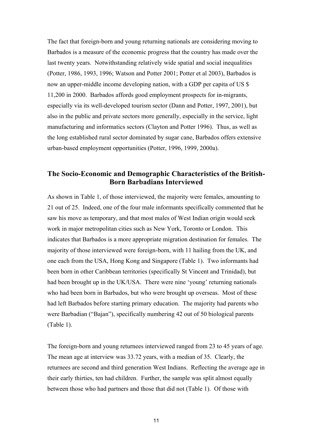The fact that foreign-born and young returning nationals are considering moving to Barbados is a measure of the economic progress that the country has made over the last twenty years. Notwithstanding relatively wide spatial and social inequalities (Potter, 1986, 1993, 1996; Watson and Potter 2001; Potter et al 2003), Barbados is now an upper-middle income developing nation, with a GDP per capita of US \$ 11,200 in 2000. Barbados affords good employment prospects for in-migrants, especially via its well-developed tourism sector (Dann and Potter, 1997, 2001), but also in the public and private sectors more generally, especially in the service, light manufacturing and informatics sectors (Clayton and Potter 1996). Thus, as well as the long established rural sector dominated by sugar cane, Barbados offers extensive urban-based employment opportunities (Potter, 1996, 1999, 2000a).

## **The Socio-Economic and Demographic Characteristics of the British-Born Barbadians Interviewed**

As shown in Table 1, of those interviewed, the majority were females, amounting to 21 out of 25. Indeed, one of the four male informants specifically commented that he saw his move as temporary, and that most males of West Indian origin would seek work in major metropolitan cities such as New York, Toronto or London. This indicates that Barbados is a more appropriate migration destination for females. The majority of those interviewed were foreign-born, with 11 hailing from the UK, and one each from the USA, Hong Kong and Singapore (Table 1). Two informants had been born in other Caribbean territories (specifically St Vincent and Trinidad), but had been brought up in the UK/USA. There were nine 'young' returning nationals who had been born in Barbados, but who were brought up overseas. Most of these had left Barbados before starting primary education. The majority had parents who were Barbadian ("Bajan"), specifically numbering 42 out of 50 biological parents (Table 1).

The foreign-born and young returnees interviewed ranged from 23 to 45 years of age. The mean age at interview was 33.72 years, with a median of 35. Clearly, the returnees are second and third generation West Indians. Reflecting the average age in their early thirties, ten had children. Further, the sample was split almost equally between those who had partners and those that did not (Table 1). Of those with

11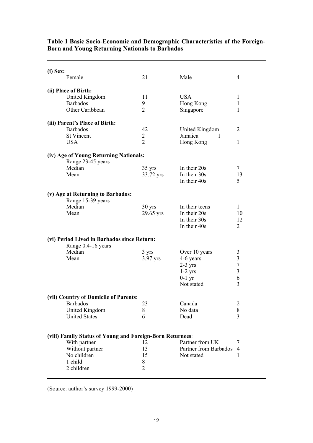| (i) Sex: | Female                                                                                                                               | 21                                     | Male                                                                           | 4                                                                   |
|----------|--------------------------------------------------------------------------------------------------------------------------------------|----------------------------------------|--------------------------------------------------------------------------------|---------------------------------------------------------------------|
|          | (ii) Place of Birth:<br><b>United Kingdom</b><br><b>Barbados</b><br>Other Caribbean                                                  | 11<br>9<br>2                           | <b>USA</b><br>Hong Kong<br>Singapore                                           | 1<br>1<br>1                                                         |
|          | (iii) Parent's Place of Birth:<br><b>Barbados</b><br><b>St Vincent</b><br><b>USA</b>                                                 | 42<br>$\overline{2}$<br>$\overline{2}$ | United Kingdom<br>Jamaica<br>1<br>Hong Kong                                    | 2<br>1                                                              |
|          | (iv) Age of Young Returning Nationals:<br>Range 23-45 years<br>Median<br>Mean                                                        | $35 \text{ yrs}$<br>33.72 yrs          | In their 20s<br>In their 30s<br>In their 40s                                   | $\tau$<br>13<br>5                                                   |
|          | (v) Age at Returning to Barbados:<br>Range 15-39 years<br>Median<br>Mean                                                             | $30 \text{ yrs}$<br>29.65 yrs          | In their teens<br>In their 20s<br>In their 30s<br>In their 40s                 | 1<br>10<br>12<br>2                                                  |
|          | (vi) Period Lived in Barbados since Return:<br>Range 0.4-16 years<br>Median<br>Mean                                                  | 3 yrs<br>3.97 yrs                      | Over 10 years<br>4-6 years<br>$2-3$ yrs<br>$1-2$ yrs<br>$0-1$ yr<br>Not stated | 3<br>$\mathfrak{Z}$<br>$\boldsymbol{7}$<br>$\mathfrak{Z}$<br>6<br>3 |
|          | (vii) Country of Domicile of Parents:<br><b>Barbados</b><br>United Kingdom<br><b>United States</b>                                   | 23<br>8<br>6                           | Canada<br>No data<br>Dead                                                      | $\overline{2}$<br>8<br>$\overline{3}$                               |
|          | (viii) Family Status of Young and Foreign-Born Returnees:<br>With partner<br>Without partner<br>No children<br>1 child<br>2 children | 12<br>13<br>15<br>8<br>$\overline{2}$  | Partner from UK<br>Partner from Barbados<br>Not stated                         | 7<br>4<br>1                                                         |

#### **Table 1 Basic Socio-Economic and Demographic Characteristics of the Foreign-Born and Young Returning Nationals to Barbados**

(Source: author's survey 1999-2000)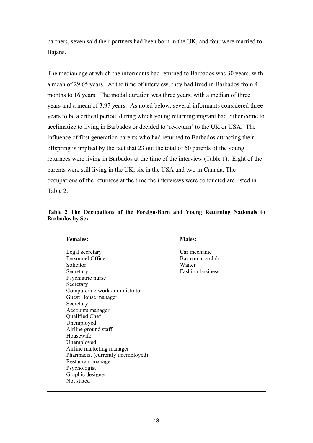partners, seven said their partners had been born in the UK, and four were married to Bajans.

The median age at which the informants had returned to Barbados was 30 years, with a mean of 29.65 years. At the time of interview, they had lived in Barbados from 4 months to 16 years. The modal duration was three years, with a median of three years and a mean of 3.97 years. As noted below, several informants considered three years to be a critical period, during which young returning migrant had either come to acclimatize to living in Barbados or decided to 're-return' to the UK or USA. The influence of first generation parents who had returned to Barbados attracting their offspring is implied by the fact that 23 out the total of 50 parents of the young returnees were living in Barbados at the time of the interview (Table 1). Eight of the parents were still living in the UK, six in the USA and two in Canada. The occupations of the returnees at the time the interviews were conducted are listed in Table 2.

| Table 2 The Occupations of the Foreign-Born and Young Returning Nationals to |  |  |  |  |
|------------------------------------------------------------------------------|--|--|--|--|
| <b>Barbados by Sex</b>                                                       |  |  |  |  |

|  | <b>Females:</b> |
|--|-----------------|

Legal secretary Car mechanic Personnel Officer Barman at a club Solicitor Waiter Secretary Fashion business Psychiatric nurse **Secretary** Computer network administrator Guest House manager Secretary Accounts manager Qualified Chef Unemployed Airline ground staff Housewife Unemployed Airline marketing manager Pharmacist (currently unemployed) Restaurant manager Psychologist Graphic designer Not stated

#### **Males:**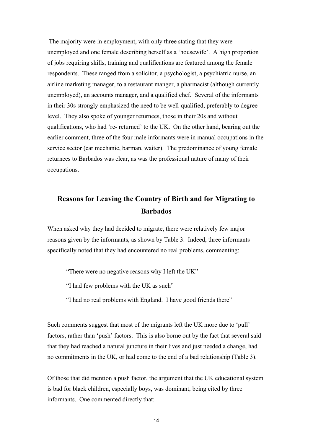The majority were in employment, with only three stating that they were unemployed and one female describing herself as a 'housewife'. A high proportion of jobs requiring skills, training and qualifications are featured among the female respondents. These ranged from a solicitor, a psychologist, a psychiatric nurse, an airline marketing manager, to a restaurant manger, a pharmacist (although currently unemployed), an accounts manager, and a qualified chef. Several of the informants in their 30s strongly emphasized the need to be well-qualified, preferably to degree level. They also spoke of younger returnees, those in their 20s and without qualifications, who had 're- returned' to the UK. On the other hand, bearing out the earlier comment, three of the four male informants were in manual occupations in the service sector (car mechanic, barman, waiter). The predominance of young female returnees to Barbados was clear, as was the professional nature of many of their occupations.

# **Reasons for Leaving the Country of Birth and for Migrating to Barbados**

When asked why they had decided to migrate, there were relatively few major reasons given by the informants, as shown by Table 3. Indeed, three informants specifically noted that they had encountered no real problems, commenting:

"There were no negative reasons why I left the UK"

"I had few problems with the UK as such"

"I had no real problems with England. I have good friends there"

Such comments suggest that most of the migrants left the UK more due to 'pull' factors, rather than 'push' factors. This is also borne out by the fact that several said that they had reached a natural juncture in their lives and just needed a change, had no commitments in the UK, or had come to the end of a bad relationship (Table 3).

Of those that did mention a push factor, the argument that the UK educational system is bad for black children, especially boys, was dominant, being cited by three informants. One commented directly that: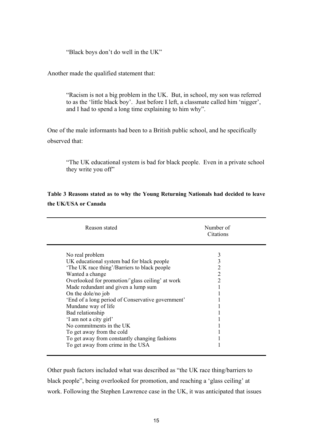"Black boys don't do well in the UK"

Another made the qualified statement that:

"Racism is not a big problem in the UK. But, in school, my son was referred to as the 'little black boy'. Just before I left, a classmate called him 'nigger', and I had to spend a long time explaining to him why".

One of the male informants had been to a British public school, and he specifically observed that:

"The UK educational system is bad for black people. Even in a private school they write you off"

| Reason stated                                                                                                                                                                                                                                                                                                                                                                                                                                                                        | Number of<br>Citations             |
|--------------------------------------------------------------------------------------------------------------------------------------------------------------------------------------------------------------------------------------------------------------------------------------------------------------------------------------------------------------------------------------------------------------------------------------------------------------------------------------|------------------------------------|
| No real problem<br>UK educational system bad for black people<br>The UK race thing'/Barriers to black people<br>Wanted a change<br>Overlooked for promotion/'glass ceiling' at work<br>Made redundant and given a lump sum<br>On the dole/no job<br>'End of a long period of Conservative government'<br>Mundane way of life<br>Bad relationship<br>'I am not a city girl'<br>No commitments in the UK<br>To get away from the cold<br>To get away from constantly changing fashions | 3<br>3<br>2<br>2<br>$\overline{2}$ |
| To get away from crime in the USA                                                                                                                                                                                                                                                                                                                                                                                                                                                    |                                    |

**Table 3 Reasons stated as to why the Young Returning Nationals had decided to leave the UK/USA or Canada** 

Other push factors included what was described as "the UK race thing/barriers to black people", being overlooked for promotion, and reaching a 'glass ceiling' at work. Following the Stephen Lawrence case in the UK, it was anticipated that issues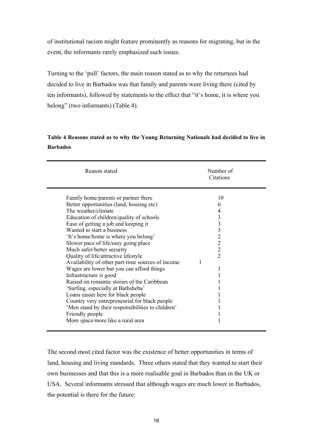of institutional racism might feature prominently as reasons for migrating, but in the event, the informants rarely emphasized such issues.

Turning to the 'pull' factors, the main reason stated as to why the returnees had decided to live in Barbados was that family and parents were living there (cited by ten informants), followed by statements to the effect that "it's home, it is where you belong" (two informants) (Table 4).

# **Table 4 Reasons stated as to why the Young Returning Nationals had decided to live in Barbados**

| Reason stated                                                                                                                                                                                                                                                                                                                                                                                                                                                                                                                                                                                                                                                                                                                                                                                        | Number of<br>Citations                        |
|------------------------------------------------------------------------------------------------------------------------------------------------------------------------------------------------------------------------------------------------------------------------------------------------------------------------------------------------------------------------------------------------------------------------------------------------------------------------------------------------------------------------------------------------------------------------------------------------------------------------------------------------------------------------------------------------------------------------------------------------------------------------------------------------------|-----------------------------------------------|
| Family home/parents or partner there<br>Better opportunities (land, housing etc)<br>The weather/climate<br>Education of children/quality of schools<br>Ease of getting a job and keeping it<br>Wanted to start a business<br>'It's home/home is where you belong'<br>Slower pace of life/easy going place<br>Much safer/better security<br>Quality of life/attractive lifestyle<br>Availability of other part-time sources of income<br>Wages are lower but you can afford things<br>Infrastructure is good<br>Raised on romantic stories of the Caribbean<br>'Surfing, especially at Bathsheba'<br>Loans easier here for black people<br>Country very entrepreneurial for black people<br>'Men stand by their responsibilities to children'<br>Friendly people<br>More space/more like a rural area | 10<br>6<br>4<br>333222<br>$\overline{2}$<br>1 |

The second most cited factor was the existence of better opportunities in terms of land, housing and living standards. Three others stated that they wanted to start their own businesses and that this is a more realisable goal in Barbados than in the UK or USA. Several informants stressed that although wages are much lower in Barbados, the potential is there for the future: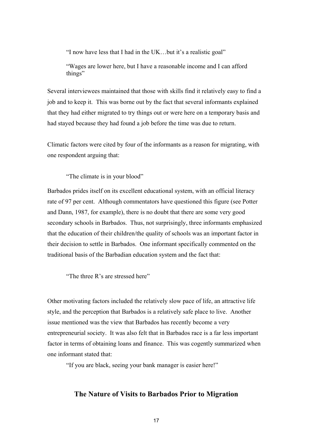"I now have less that I had in the UK…but it's a realistic goal"

"Wages are lower here, but I have a reasonable income and I can afford things"

Several interviewees maintained that those with skills find it relatively easy to find a job and to keep it. This was borne out by the fact that several informants explained that they had either migrated to try things out or were here on a temporary basis and had stayed because they had found a job before the time was due to return.

Climatic factors were cited by four of the informants as a reason for migrating, with one respondent arguing that:

"The climate is in your blood"

Barbados prides itself on its excellent educational system, with an official literacy rate of 97 per cent. Although commentators have questioned this figure (see Potter and Dann, 1987, for example), there is no doubt that there are some very good secondary schools in Barbados. Thus, not surprisingly, three informants emphasized that the education of their children/the quality of schools was an important factor in their decision to settle in Barbados. One informant specifically commented on the traditional basis of the Barbadian education system and the fact that:

"The three R's are stressed here"

Other motivating factors included the relatively slow pace of life, an attractive life style, and the perception that Barbados is a relatively safe place to live. Another issue mentioned was the view that Barbados has recently become a very entrepreneurial society. It was also felt that in Barbados race is a far less important factor in terms of obtaining loans and finance. This was cogently summarized when one informant stated that:

"If you are black, seeing your bank manager is easier here!"

#### **The Nature of Visits to Barbados Prior to Migration**

17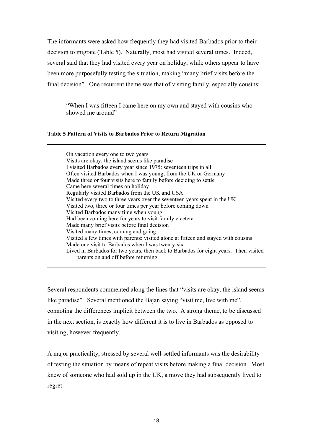The informants were asked how frequently they had visited Barbados prior to their decision to migrate (Table 5). Naturally, most had visited several times. Indeed, several said that they had visited every year on holiday, while others appear to have been more purposefully testing the situation, making "many brief visits before the final decision". One recurrent theme was that of visiting family, especially cousins:

"When I was fifteen I came here on my own and stayed with cousins who showed me around"

#### **Table 5 Pattern of Visits to Barbados Prior to Return Migration**

On vacation every one to two years Visits are okay; the island seems like paradise I visited Barbados every year since 1975: seventeen trips in all Often visited Barbados when I was young, from the UK or Germany Made three or four visits here to family before deciding to settle Came here several times on holiday Regularly visited Barbados from the UK and USA Visited every two to three years over the seventeen years spent in the UK Visited two, three or four times per year before coming down Visited Barbados many time when young Had been coming here for years to visit family etcetera Made many brief visits before final decision Visited many times, coming and going Visited a few times with parents: visited alone at fifteen and stayed with cousins Made one visit to Barbados when I was twenty-six Lived in Barbados for two years, then back to Barbados for eight years. Then visited parents on and off before returning

Several respondents commented along the lines that "visits are okay, the island seems like paradise". Several mentioned the Bajan saying "visit me, live with me", connoting the differences implicit between the two. A strong theme, to be discussed in the next section, is exactly how different it is to live in Barbados as opposed to visiting, however frequently.

A major practicality, stressed by several well-settled informants was the desirability of testing the situation by means of repeat visits before making a final decision. Most knew of someone who had sold up in the UK, a move they had subsequently lived to regret: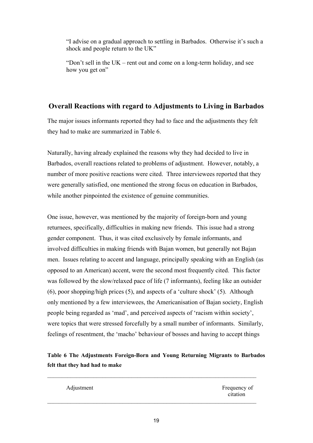"I advise on a gradual approach to settling in Barbados. Otherwise it's such a shock and people return to the UK"

"Don't sell in the UK – rent out and come on a long-term holiday, and see how you get on"

# **Overall Reactions with regard to Adjustments to Living in Barbados**

The major issues informants reported they had to face and the adjustments they felt they had to make are summarized in Table 6.

Naturally, having already explained the reasons why they had decided to live in Barbados, overall reactions related to problems of adjustment. However, notably, a number of more positive reactions were cited. Three interviewees reported that they were generally satisfied, one mentioned the strong focus on education in Barbados, while another pinpointed the existence of genuine communities.

One issue, however, was mentioned by the majority of foreign-born and young returnees, specifically, difficulties in making new friends. This issue had a strong gender component. Thus, it was cited exclusively by female informants, and involved difficulties in making friends with Bajan women, but generally not Bajan men. Issues relating to accent and language, principally speaking with an English (as opposed to an American) accent, were the second most frequently cited. This factor was followed by the slow/relaxed pace of life (7 informants), feeling like an outsider (6), poor shopping/high prices (5), and aspects of a 'culture shock' (5). Although only mentioned by a few interviewees, the Americanisation of Bajan society, English people being regarded as 'mad', and perceived aspects of 'racism within society', were topics that were stressed forcefully by a small number of informants. Similarly, feelings of resentment, the 'macho' behaviour of bosses and having to accept things

# **Table 6 The Adjustments Foreign-Born and Young Returning Migrants to Barbados felt that they had had to make**

 $\mathcal{L}_\text{max} = \mathcal{L}_\text{max} = \mathcal{L}_\text{max} = \mathcal{L}_\text{max} = \mathcal{L}_\text{max} = \mathcal{L}_\text{max} = \mathcal{L}_\text{max} = \mathcal{L}_\text{max} = \mathcal{L}_\text{max} = \mathcal{L}_\text{max} = \mathcal{L}_\text{max} = \mathcal{L}_\text{max} = \mathcal{L}_\text{max} = \mathcal{L}_\text{max} = \mathcal{L}_\text{max} = \mathcal{L}_\text{max} = \mathcal{L}_\text{max} = \mathcal{L}_\text{max} = \mathcal{$ 

 $\mathcal{L}_\text{max} = \mathcal{L}_\text{max} = \mathcal{L}_\text{max} = \mathcal{L}_\text{max} = \mathcal{L}_\text{max} = \mathcal{L}_\text{max} = \mathcal{L}_\text{max} = \mathcal{L}_\text{max} = \mathcal{L}_\text{max} = \mathcal{L}_\text{max} = \mathcal{L}_\text{max} = \mathcal{L}_\text{max} = \mathcal{L}_\text{max} = \mathcal{L}_\text{max} = \mathcal{L}_\text{max} = \mathcal{L}_\text{max} = \mathcal{L}_\text{max} = \mathcal{L}_\text{max} = \mathcal{$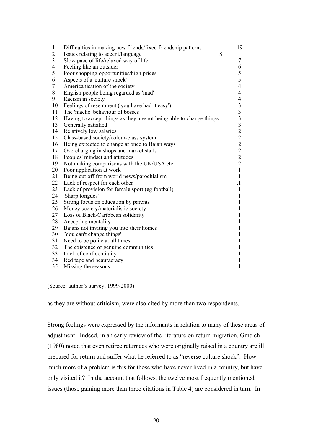| $\mathbf{1}$   | Difficulties in making new friends/fixed friendship patterns        | 19                      |  |
|----------------|---------------------------------------------------------------------|-------------------------|--|
| $\mathbf{2}$   | Issues relating to accent/language                                  | 8                       |  |
| $\overline{3}$ | Slow pace of life/relaxed way of life                               | $\overline{7}$          |  |
| $\overline{4}$ | Feeling like an outsider                                            | 6                       |  |
| 5              | Poor shopping opportunities/high prices                             | 5                       |  |
| 6              | Aspects of a 'culture shock'                                        | 5                       |  |
| $\overline{7}$ | Americanisation of the society                                      | $\overline{4}$          |  |
| 8              | English people being regarded as 'mad'                              | $\overline{4}$          |  |
| 9              | Racism in society                                                   | $\overline{4}$          |  |
| 10             | Feelings of resentment ('you have had it easy')                     | $\overline{\mathbf{3}}$ |  |
| 11             | The 'macho' behaviour of bosses                                     | $\overline{\mathbf{3}}$ |  |
| 12             | Having to accept things as they are/not being able to change things |                         |  |
| 13             | Generally satisfied                                                 |                         |  |
| 14             | Relatively low salaries                                             | 3322222                 |  |
| 15             | Class-based society/colour-class system                             |                         |  |
| 16             | Being expected to change at once to Bajan ways                      |                         |  |
| 17             | Overcharging in shops and market stalls                             |                         |  |
| 18             | Peoples' mindset and attitudes                                      |                         |  |
| 19             | Not making comparisons with the UK/USA etc                          |                         |  |
| 20             | Poor application at work                                            | $\mathbf{1}$            |  |
| 21             | Being cut off from world news/parochialism                          | $\mathbf{1}$            |  |
| 22             | Lack of respect for each other                                      | $\cdot$                 |  |
| 23             | Lack of provision for female sport (eg football)                    | 1                       |  |
| 24             | 'Sharp tongues'                                                     | 1                       |  |
| 25             | Strong focus on education by parents                                | 1                       |  |
| 26             | Money society/materialistic society                                 | 1                       |  |
| 27             | Loss of Black/Caribbean solidarity                                  | 1                       |  |
| 28             | Accepting mentality                                                 | 1                       |  |
| 29             | Bajans not inviting you into their homes                            | 1                       |  |
| 30             | 'You can't change things'                                           | 1                       |  |
| 31             | Need to be polite at all times                                      | 1                       |  |
| 32             | The existence of genuine communities                                | 1                       |  |
| 33             | Lack of confidentiality                                             | 1                       |  |
| 34             | Red tape and beauracracy                                            | $\mathbf{1}$            |  |
| 35             | Missing the seasons                                                 | 1                       |  |
|                |                                                                     |                         |  |

(Source: author's survey, 1999-2000)

as they are without criticism, were also cited by more than two respondents.

Strong feelings were expressed by the informants in relation to many of these areas of adjustment. Indeed, in an early review of the literature on return migration, Gmelch (1980) noted that even retiree returnees who were originally raised in a country are ill prepared for return and suffer what he referred to as "reverse culture shock". How much more of a problem is this for those who have never lived in a country, but have only visited it? In the account that follows, the twelve most frequently mentioned issues (those gaining more than three citations in Table 4) are considered in turn. In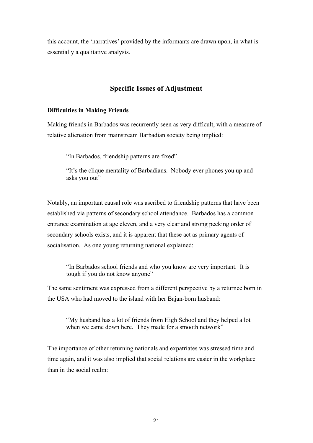this account, the 'narratives' provided by the informants are drawn upon, in what is essentially a qualitative analysis.

## **Specific Issues of Adjustment**

#### **Difficulties in Making Friends**

Making friends in Barbados was recurrently seen as very difficult, with a measure of relative alienation from mainstream Barbadian society being implied:

"In Barbados, friendship patterns are fixed"

"It's the clique mentality of Barbadians. Nobody ever phones you up and asks you out"

Notably, an important causal role was ascribed to friendship patterns that have been established via patterns of secondary school attendance. Barbados has a common entrance examination at age eleven, and a very clear and strong pecking order of secondary schools exists, and it is apparent that these act as primary agents of socialisation. As one young returning national explained:

"In Barbados school friends and who you know are very important. It is tough if you do not know anyone"

The same sentiment was expressed from a different perspective by a returnee born in the USA who had moved to the island with her Bajan-born husband:

"My husband has a lot of friends from High School and they helped a lot when we came down here. They made for a smooth network"

The importance of other returning nationals and expatriates was stressed time and time again, and it was also implied that social relations are easier in the workplace than in the social realm: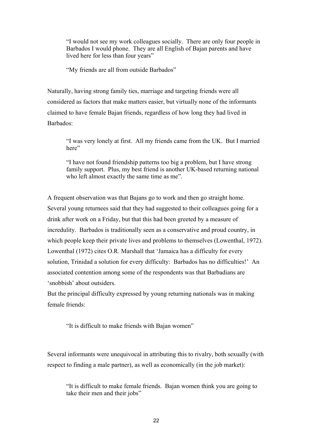"I would not see my work colleagues socially. There are only four people in Barbados I would phone. They are all English of Bajan parents and have lived here for less than four years"

"My friends are all from outside Barbados"

Naturally, having strong family ties, marriage and targeting friends were all considered as factors that make matters easier, but virtually none of the informants claimed to have female Bajan friends, regardless of how long they had lived in Barbados:

"I was very lonely at first. All my friends came from the UK. But I married here"

"I have not found friendship patterns too big a problem, but I have strong family support. Plus, my best friend is another UK-based returning national who left almost exactly the same time as me".

A frequent observation was that Bajans go to work and then go straight home. Several young returnees said that they had suggested to their colleagues going for a drink after work on a Friday, but that this had been greeted by a measure of incredulity. Barbados is traditionally seen as a conservative and proud country, in which people keep their private lives and problems to themselves (Lowenthal, 1972). Lowenthal (1972) cites O.R. Marshall that 'Jamaica has a difficulty for every solution, Trinidad a solution for every difficulty: Barbados has no difficulties!' An associated contention among some of the respondents was that Barbadians are 'snobbish' about outsiders.

But the principal difficulty expressed by young returning nationals was in making female friends:

"It is difficult to make friends with Bajan women"

Several informants were unequivocal in attributing this to rivalry, both sexually (with respect to finding a male partner), as well as economically (in the job market):

"It is difficult to make female friends. Bajan women think you are going to take their men and their jobs"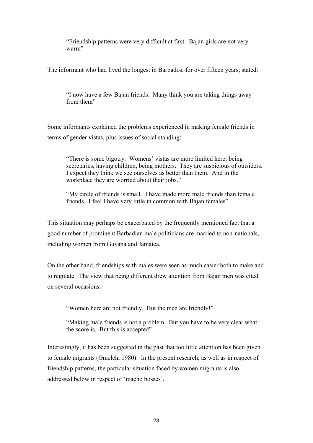"Friendship patterns were very difficult at first. Bajan girls are not very warm"

The informant who had lived the longest in Barbados, for over fifteen years, stated:

"I now have a few Bajan friends. Many think you are taking things away from them"

Some informants explained the problems experienced in making female friends in terms of gender vistas, plus issues of social standing:

"There is some bigotry. Womens' vistas are more limited here: being secretaries, having children, being mothers. They are suspicious of outsiders. I expect they think we see ourselves as better than them. And in the workplace they are worried about their jobs."

"My circle of friends is small. I have made more male friends than female friends. I feel I have very little in common with Bajan females"

This situation may perhaps be exacerbated by the frequently mentioned fact that a good number of prominent Barbadian male politicians are married to non-nationals, including women from Guyana and Jamaica.

On the other hand, friendships with males were seen as much easier both to make and to regulate. The view that being different drew attention from Bajan men was cited on several occasions:

"Women here are not friendly. But the men are friendly!"

"Making male friends is not a problem. But you have to be very clear what the score is. But this is accepted"

Interestingly, it has been suggested in the past that too little attention has been given to female migrants (Gmelch, 1980). In the present research, as well as in respect of friendship patterns, the particular situation faced by women migrants is also addressed below in respect of 'macho bosses'.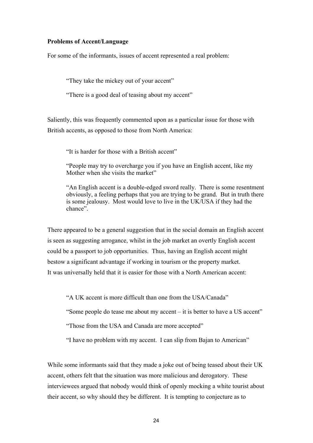#### **Problems of Accent/Language**

For some of the informants, issues of accent represented a real problem:

"They take the mickey out of your accent"

"There is a good deal of teasing about my accent"

Saliently, this was frequently commented upon as a particular issue for those with British accents, as opposed to those from North America:

"It is harder for those with a British accent"

"People may try to overcharge you if you have an English accent, like my Mother when she visits the market"

"An English accent is a double-edged sword really. There is some resentment obviously, a feeling perhaps that you are trying to be grand. But in truth there is some jealousy. Most would love to live in the UK/USA if they had the chance".

There appeared to be a general suggestion that in the social domain an English accent is seen as suggesting arrogance, whilst in the job market an overtly English accent could be a passport to job opportunities. Thus, having an English accent might bestow a significant advantage if working in tourism or the property market. It was universally held that it is easier for those with a North American accent:

"A UK accent is more difficult than one from the USA/Canada"

"Some people do tease me about my accent – it is better to have a US accent"

"Those from the USA and Canada are more accepted"

"I have no problem with my accent. I can slip from Bajan to American"

While some informants said that they made a joke out of being teased about their UK accent, others felt that the situation was more malicious and derogatory. These interviewees argued that nobody would think of openly mocking a white tourist about their accent, so why should they be different. It is tempting to conjecture as to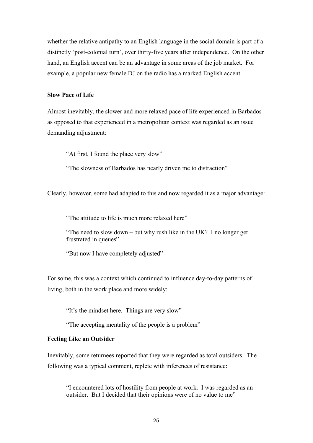whether the relative antipathy to an English language in the social domain is part of a distinctly 'post-colonial turn', over thirty-five years after independence. On the other hand, an English accent can be an advantage in some areas of the job market. For example, a popular new female DJ on the radio has a marked English accent.

#### **Slow Pace of Life**

Almost inevitably, the slower and more relaxed pace of life experienced in Barbados as opposed to that experienced in a metropolitan context was regarded as an issue demanding adjustment:

"At first, I found the place very slow"

"The slowness of Barbados has nearly driven me to distraction"

Clearly, however, some had adapted to this and now regarded it as a major advantage:

"The attitude to life is much more relaxed here"

"The need to slow down – but why rush like in the UK? I no longer get frustrated in queues"

"But now I have completely adjusted"

For some, this was a context which continued to influence day-to-day patterns of living, both in the work place and more widely:

"It's the mindset here. Things are very slow"

"The accepting mentality of the people is a problem"

#### **Feeling Like an Outsider**

Inevitably, some returnees reported that they were regarded as total outsiders. The following was a typical comment, replete with inferences of resistance:

"I encountered lots of hostility from people at work. I was regarded as an outsider. But I decided that their opinions were of no value to me"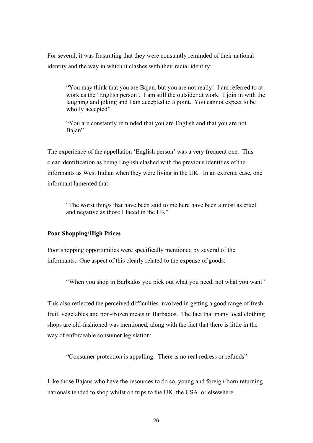For several, it was frustrating that they were constantly reminded of their national identity and the way in which it clashes with their racial identity:

"You may think that you are Bajan, but you are not really! I am referred to at work as the 'English person'. I am still the outsider at work. I join in with the laughing and joking and I am accepted to a point. You cannot expect to be wholly accepted"

"You are constantly reminded that you are English and that you are not Bajan"

The experience of the appellation 'English person' was a very frequent one. This clear identification as being English clashed with the previous identities of the informants as West Indian when they were living in the UK. In an extreme case, one informant lamented that:

"The worst things that have been said to me here have been almost as cruel and negative as those I faced in the UK"

#### **Poor Shopping/High Prices**

Poor shopping opportunities were specifically mentioned by several of the informants. One aspect of this clearly related to the expense of goods:

"When you shop in Barbados you pick out what you need, not what you want"

This also reflected the perceived difficulties involved in getting a good range of fresh fruit, vegetables and non-frozen meats in Barbados. The fact that many local clothing shops are old-fashioned was mentioned, along with the fact that there is little in the way of enforceable consumer legislation:

"Consumer protection is appalling. There is no real redress or refunds"

Like those Bajans who have the resources to do so, young and foreign-born returning nationals tended to shop whilst on trips to the UK, the USA, or elsewhere.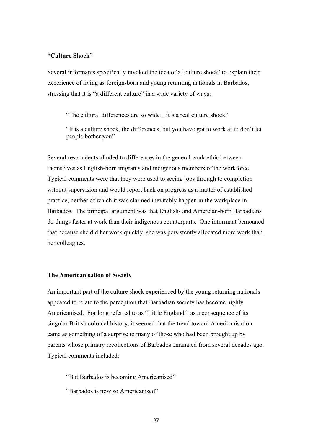#### **"Culture Shock"**

Several informants specifically invoked the idea of a 'culture shock' to explain their experience of living as foreign-born and young returning nationals in Barbados, stressing that it is "a different culture" in a wide variety of ways:

"The cultural differences are so wide…it's a real culture shock"

"It is a culture shock, the differences, but you have got to work at it; don't let people bother you"

Several respondents alluded to differences in the general work ethic between themselves as English-born migrants and indigenous members of the workforce. Typical comments were that they were used to seeing jobs through to completion without supervision and would report back on progress as a matter of established practice, neither of which it was claimed inevitably happen in the workplace in Barbados. The principal argument was that English- and Amercian-born Barbadians do things faster at work than their indigenous counterparts. One informant bemoaned that because she did her work quickly, she was persistently allocated more work than her colleagues.

#### **The Americanisation of Society**

An important part of the culture shock experienced by the young returning nationals appeared to relate to the perception that Barbadian society has become highly Americanised. For long referred to as "Little England", as a consequence of its singular British colonial history, it seemed that the trend toward Americanisation came as something of a surprise to many of those who had been brought up by parents whose primary recollections of Barbados emanated from several decades ago. Typical comments included:

"But Barbados is becoming Americanised"

"Barbados is now so Americanised"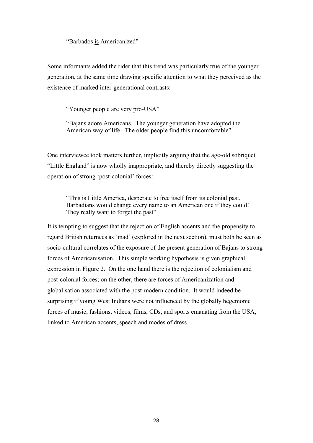"Barbados is Americanized"

Some informants added the rider that this trend was particularly true of the younger generation, at the same time drawing specific attention to what they perceived as the existence of marked inter-generational contrasts:

"Younger people are very pro-USA"

"Bajans adore Americans. The younger generation have adopted the American way of life. The older people find this uncomfortable"

One interviewee took matters further, implicitly arguing that the age-old sobriquet "Little England" is now wholly inappropriate, and thereby directly suggesting the operation of strong 'post-colonial' forces:

"This is Little America, desperate to free itself from its colonial past. Barbadians would change every name to an American one if they could! They really want to forget the past"

It is tempting to suggest that the rejection of English accents and the propensity to regard British returnees as 'mad' (explored in the next section), must both be seen as socio-cultural correlates of the exposure of the present generation of Bajans to strong forces of Americanisation. This simple working hypothesis is given graphical expression in Figure 2. On the one hand there is the rejection of colonialism and post-colonial forces; on the other, there are forces of Americanization and globalisation associated with the post-modern condition. It would indeed be surprising if young West Indians were not influenced by the globally hegemonic forces of music, fashions, videos, films, CDs, and sports emanating from the USA, linked to American accents, speech and modes of dress.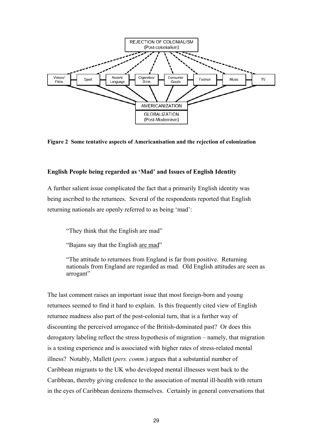

**Figure 2 Some tentative aspects of Americanisation and the rejection of colonization** 

#### **English People being regarded as 'Mad' and Issues of English Identity**

A further salient issue complicated the fact that a primarily English identity was being ascribed to the returnees. Several of the respondents reported that English returning nationals are openly referred to as being 'mad':

"They think that the English are mad"

"Bajans say that the English are mad"

"The attitude to returnees from England is far from positive. Returning nationals from England are regarded as mad. Old English attitudes are seen as arrogant"

The last comment raises an important issue that most foreign-born and young returnees seemed to find it hard to explain. Is this frequently cited view of English returnee madness also part of the post-colonial turn, that is a further way of discounting the perceived arrogance of the British-dominated past? Or does this derogatory labeling reflect the stress hypothesis of migration – namely, that migration is a testing experience and is associated with higher rates of stress-related mental illness? Notably, Mallett (*pers. comm*.) argues that a substantial number of Caribbean migrants to the UK who developed mental illnesses went back to the Caribbean, thereby giving credence to the association of mental ill-health with return in the eyes of Caribbean denizens themselves. Certainly in general conversations that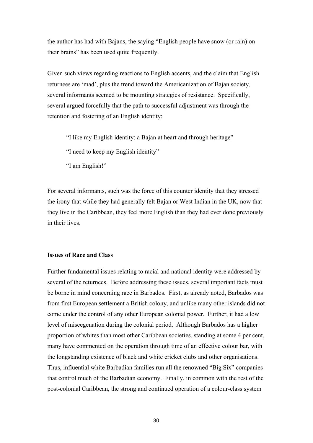the author has had with Bajans, the saying "English people have snow (or rain) on their brains" has been used quite frequently.

Given such views regarding reactions to English accents, and the claim that English returnees are 'mad', plus the trend toward the Americanization of Bajan society, several informants seemed to be mounting strategies of resistance. Specifically, several argued forcefully that the path to successful adjustment was through the retention and fostering of an English identity:

- "I like my English identity: a Bajan at heart and through heritage"
- "I need to keep my English identity"
- "I am English!"

For several informants, such was the force of this counter identity that they stressed the irony that while they had generally felt Bajan or West Indian in the UK, now that they live in the Caribbean, they feel more English than they had ever done previously in their lives.

#### **Issues of Race and Class**

Further fundamental issues relating to racial and national identity were addressed by several of the returnees. Before addressing these issues, several important facts must be borne in mind concerning race in Barbados. First, as already noted, Barbados was from first European settlement a British colony, and unlike many other islands did not come under the control of any other European colonial power. Further, it had a low level of miscegenation during the colonial period. Although Barbados has a higher proportion of whites than most other Caribbean societies, standing at some 4 per cent, many have commented on the operation through time of an effective colour bar, with the longstanding existence of black and white cricket clubs and other organisations. Thus, influential white Barbadian families run all the renowned "Big Six" companies that control much of the Barbadian economy. Finally, in common with the rest of the post-colonial Caribbean, the strong and continued operation of a colour-class system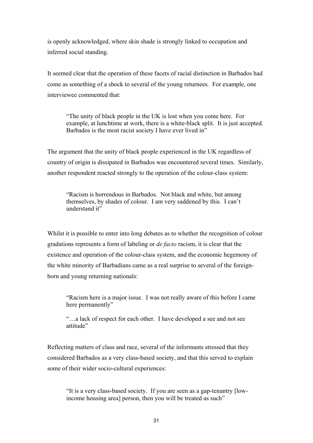is openly acknowledged, where skin shade is strongly linked to occupation and inferred social standing.

It seemed clear that the operation of these facets of racial distinction in Barbados had come as something of a shock to several of the young returnees. For example, one interviewee commented that:

"The unity of black people in the UK is lost when you come here. For example, at lunchtime at work, there is a white-black split. It is just accepted. Barbados is the most racist society I have ever lived in"

The argument that the unity of black people experienced in the UK regardless of country of origin is dissipated in Barbados was encountered several times. Similarly, another respondent reacted strongly to the operation of the colour-class system:

"Racism is horrendous in Barbados. Not black and white, but among themselves, by shades of colour. I am very saddened by this. I can't understand it"

Whilst it is possible to enter into long debates as to whether the recognition of colour gradations represents a form of labeling or *de facto* racism, it is clear that the existence and operation of the colour-class system, and the economic hegemony of the white minority of Barbadians came as a real surprise to several of the foreignborn and young returning nationals:

"Racism here is a major issue. I was not really aware of this before I came here permanently"

"…a lack of respect for each other. I have developed a see and not see attitude"

Reflecting matters of class and race, several of the informants stressed that they considered Barbados as a very class-based society, and that this served to explain some of their wider socio-cultural experiences:

"It is a very class-based society. If you are seen as a gap-tenantry [lowincome housing area] person, then you will be treated as such"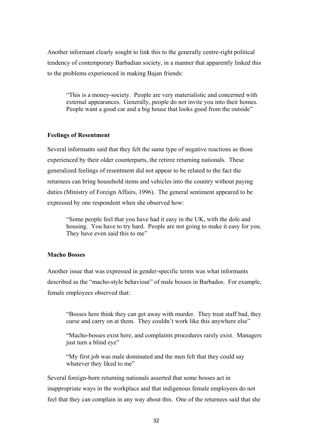Another informant clearly sought to link this to the generally centre-right political tendency of contemporary Barbadian society, in a manner that apparently linked this to the problems experienced in making Bajan friends:

"This is a money-society. People are very materialistic and concerned with external appearances. Generally, people do not invite you into their homes. People want a good car and a big house that looks good from the outside"

#### **Feelings of Resentment**

Several informants said that they felt the same type of negative reactions as those experienced by their older counterparts, the retiree returning nationals. These generalized feelings of resentment did not appear to be related to the fact the returnees can bring household items and vehicles into the country without paying duties (Ministry of Foreign Affairs, 1996). The general sentiment appeared to be expressed by one respondent when she observed how:

"Some people feel that you have had it easy in the UK, with the dole and housing. You have to try hard. People are not going to make it easy for you. They have even said this to me"

#### **Macho Bosses**

Another issue that was expressed in gender-specific terms was what informants described as the "macho-style behaviour" of male bosses in Barbados. For example, female employees observed that:

"Bosses here think they can get away with murder. They treat staff bad, they curse and carry on at them. They couldn't work like this anywhere else"

"Macho-bosses exist here, and complaints procedures rarely exist. Managers just turn a blind eye"

"My first job was male dominated and the men felt that they could say whatever they liked to me"

Several foreign-born returning nationals asserted that some bosses act in inappropriate ways in the workplace and that indigenous female employees do not feel that they can complain in any way about this. One of the returnees said that she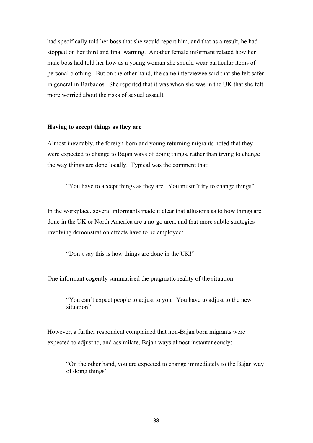had specifically told her boss that she would report him, and that as a result, he had stopped on her third and final warning. Another female informant related how her male boss had told her how as a young woman she should wear particular items of personal clothing. But on the other hand, the same interviewee said that she felt safer in general in Barbados. She reported that it was when she was in the UK that she felt more worried about the risks of sexual assault.

#### **Having to accept things as they are**

Almost inevitably, the foreign-born and young returning migrants noted that they were expected to change to Bajan ways of doing things, rather than trying to change the way things are done locally. Typical was the comment that:

"You have to accept things as they are. You mustn't try to change things"

In the workplace, several informants made it clear that allusions as to how things are done in the UK or North America are a no-go area, and that more subtle strategies involving demonstration effects have to be employed:

"Don't say this is how things are done in the UK!"

One informant cogently summarised the pragmatic reality of the situation:

"You can't expect people to adjust to you. You have to adjust to the new situation"

However, a further respondent complained that non-Bajan born migrants were expected to adjust to, and assimilate, Bajan ways almost instantaneously:

"On the other hand, you are expected to change immediately to the Bajan way of doing things"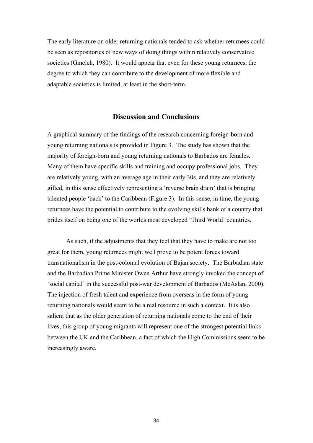The early literature on older returning nationals tended to ask whether returnees could be seen as repositories of new ways of doing things within relatively conservative societies (Gmelch, 1980). It would appear that even for these young returnees, the degree to which they can contribute to the development of more flexible and adaptable societies is limited, at least in the short-term.

#### **Discussion and Conclusions**

A graphical summary of the findings of the research concerning foreign-born and young returning nationals is provided in Figure 3. The study has shown that the majority of foreign-born and young returning nationals to Barbados are females. Many of them have specific skills and training and occupy professional jobs. They are relatively young, with an average age in their early 30s, and they are relatively gifted, in this sense effectively representing a 'reverse brain drain' that is bringing talented people 'back' to the Caribbean (Figure 3). In this sense, in time, the young returnees have the potential to contribute to the evolving skills bank of a country that prides itself on being one of the worlds most developed 'Third World' countries.

As such, if the adjustments that they feel that they have to make are not too great for them, young returnees might well prove to be potent forces toward transnationalism in the post-colonial evolution of Bajan society. The Barbadian state and the Barbadian Prime Minister Owen Arthur have strongly invoked the concept of 'social capital' in the successful post-war development of Barbados (McAslan, 2000). The injection of fresh talent and experience from overseas in the form of young returning nationals would seem to be a real resource in such a context. It is also salient that as the older generation of returning nationals come to the end of their lives, this group of young migrants will represent one of the strongest potential links between the UK and the Caribbean, a fact of which the High Commissions seem to be increasingly aware.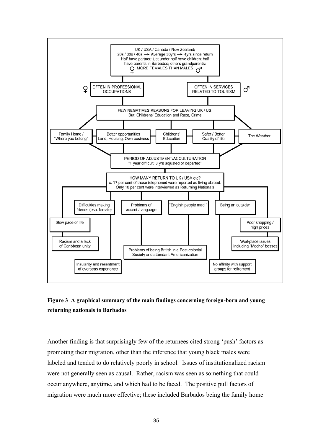

# **Figure 3 A graphical summary of the main findings concerning foreign-born and young returning nationals to Barbados**

Another finding is that surprisingly few of the returnees cited strong 'push' factors as promoting their migration, other than the inference that young black males were labeled and tended to do relatively poorly in school. Issues of institutionalized racism were not generally seen as causal. Rather, racism was seen as something that could occur anywhere, anytime, and which had to be faced. The positive pull factors of migration were much more effective; these included Barbados being the family home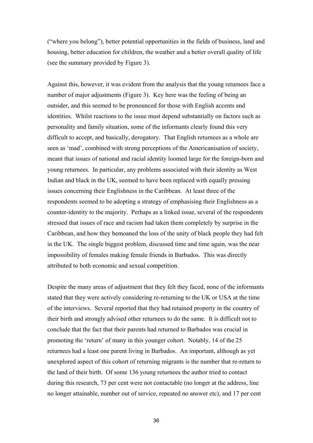("where you belong"), better potential opportunities in the fields of business, land and housing, better education for children, the weather and a better overall quality of life (see the summary provided by Figure 3).

Against this, however, it was evident from the analysis that the young returnees face a number of major adjustments (Figure 3). Key here was the feeling of being an outsider, and this seemed to be pronounced for those with English accents and identities. Whilst reactions to the issue must depend substantially on factors such as personality and family situation, some of the informants clearly found this very difficult to accept, and basically, derogatory. That English returnees as a whole are seen as 'mad', combined with strong perceptions of the Americanisation of society, meant that issues of national and racial identity loomed large for the foreign-born and young returnees. In particular, any problems associated with their identity as West Indian and black in the UK, seemed to have been replaced with equally pressing issues concerning their Englishness in the Caribbean. At least three of the respondents seemed to be adopting a strategy of emphasising their Englishness as a counter-identity to the majority. Perhaps as a linked issue, several of the respondents stressed that issues of race and racism had taken them completely by surprise in the Caribbean, and how they bemoaned the loss of the unity of black people they had felt in the UK. The single biggest problem, discussed time and time again, was the near impossibility of females making female friends in Barbados. This was directly attributed to both economic and sexual competition.

Despite the many areas of adjustment that they felt they faced, none of the informants stated that they were actively considering re-returning to the UK or USA at the time of the interviews. Several reported that they had retained property in the country of their birth and strongly advised other returnees to do the same. It is difficult not to conclude that the fact that their parents had returned to Barbados was crucial in promoting the 'return' of many in this younger cohort. Notably, 14 of the 25 returnees had a least one parent living in Barbados. An important, although as yet unexplored aspect of this cohort of returning migrants is the number that re-return to the land of their birth. Of some 136 young returnees the author tried to contact during this research, 73 per cent were not contactable (no longer at the address, line no longer attainable, number out of service, repeated no answer etc), and 17 per cent

36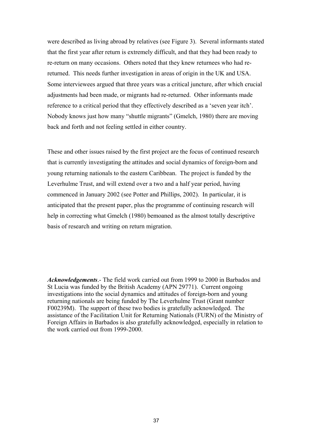were described as living abroad by relatives (see Figure 3). Several informants stated that the first year after return is extremely difficult, and that they had been ready to re-return on many occasions. Others noted that they knew returnees who had rereturned. This needs further investigation in areas of origin in the UK and USA. Some interviewees argued that three years was a critical juncture, after which crucial adjustments had been made, or migrants had re-returned. Other informants made reference to a critical period that they effectively described as a 'seven year itch'. Nobody knows just how many "shuttle migrants" (Gmelch, 1980) there are moving back and forth and not feeling settled in either country.

These and other issues raised by the first project are the focus of continued research that is currently investigating the attitudes and social dynamics of foreign-born and young returning nationals to the eastern Caribbean. The project is funded by the Leverhulme Trust, and will extend over a two and a half year period, having commenced in January 2002 (see Potter and Phillips, 2002). In particular, it is anticipated that the present paper, plus the programme of continuing research will help in correcting what Gmelch (1980) bemoaned as the almost totally descriptive basis of research and writing on return migration.

*Acknowledgements*.- The field work carried out from 1999 to 2000 in Barbados and St Lucia was funded by the British Academy (APN 29771). Current ongoing investigations into the social dynamics and attitudes of foreign-born and young returning nationals are being funded by The Leverhulme Trust (Grant number F00239M). The support of these two bodies is gratefully acknowledged. The assistance of the Facilitation Unit for Returning Nationals (FURN) of the Ministry of Foreign Affairs in Barbados is also gratefully acknowledged, especially in relation to the work carried out from 1999-2000.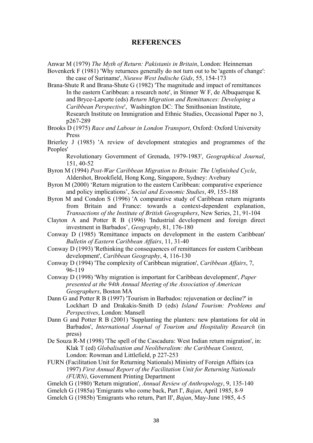#### **REFERENCES**

Anwar M (1979) *The Myth of Return: Pakistanis in Britain*, London: Heinneman

Bovenkerk F (1981) 'Why returnees generally do not turn out to be 'agents of change': the case of Suriname', *Nieuwe West Indische Gids*, 55, 154-173

Brana-Shute R and Brana-Shute G (1982) 'The magnitude and impact of remittances In the eastern Caribbean: a research note', in Stinner W F, de Albuquerque K and Bryce-Laporte (eds) *Return Migration and Remittances: Developing a Caribbean Perspective*', Washington DC: The Smithsonian Institute, Research Institute on Immigration and Ethnic Studies, Occasional Paper no 3, p267-289

Brooks D (1975) *Race and Labour in London Transport*, Oxford: Oxford University Press

Brierley J (1985) 'A review of development strategies and programmes of the Peoples'

Revolutionary Government of Grenada, 1979-1983', *Geographical Journal*, 151, 40-52

- Byron M (1994) *Post-War Caribbean Migration to Britain: The Unfinished Cycle*, Aldershot, Brookfield, Hong Kong, Singapore, Sydney: Avebury
- Byron M (2000) 'Return migration to the eastern Caribbean: comparative experience and policy implications', *Social and Economic Studies*, 49, 155-188
- Byron M and Condon S (1996) 'A comparative study of Caribbean return migrants from Britain and France: towards a context-dependent explanation, *Transactions of the Institute of British Geographers*, New Series, 21, 91-104
- Clayton A and Potter R B (1996) 'Industrial development and foreign direct investment in Barbados', *Geography*, 81, 176-180
- Conway D (1985) 'Remittance impacts on development in the eastern Caribbean' *Bulletin of Eastern Caribbean Affairs*, 11, 31-40
- Conway D (1993) 'Rethinking the consequences of remittances for eastern Caribbean development', *Caribbean Geography*, 4, 116-130
- Conway D (1994) 'The complexity of Caribbean migration', *Caribbean Affairs*, 7, 96-119

Conway D (1998) 'Why migration is important for Caribbean development', *Paper presented at the 94th Annual Meeting of the Association of American Geographers*, Boston MA

- Dann G and Potter R B (1997) 'Tourism in Barbados: rejuvenation or decline?' in Lockhart D and Drakakis-Smith D (eds) *Island Tourism: Problems and Perspectives*, London: Mansell
- Dann G and Potter R B (2001) 'Supplanting the planters: new plantations for old in Barbados', *International Journal of Tourism and Hospitality Research* (in press)
- De Souza R-M (1998) 'The spell of the Cascadura: West Indian return migration', in: Klak T (ed) *Globalisation and Neoliberalism: the Caribbean Context*, London: Rowman and Littlefield, p 227-253
- FURN (Facilitation Unit for Returning Nationals) Ministry of Foreign Affairs (ca 1997) *First Annual Report of the Facilitation Unit for Returning Nationals (FURN)*, Government Printing Department

Gmelch G (1980) 'Return migration', *Annual Review of Anthropology*, 9, 135-140

Gmelch G (1985a) 'Emigrants who come back, Part I', *Bajan*, April 1985, 8-9

Gmelch G (1985b) 'Emigrants who return, Part II', *Bajan*, May-June 1985, 4-5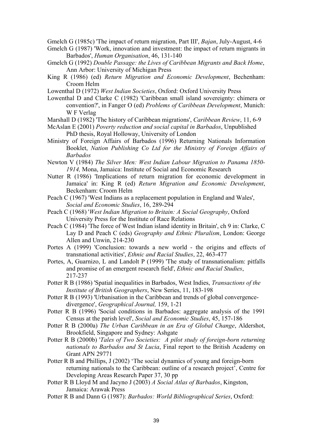Gmelch G (1985c) 'The impact of return migration, Part III', *Bajan*, July-August, 4-6

- Gmelch G (1987) 'Work, innovation and investment: the impact of return migrants in Barbados', *Human Organisation*, 46, 131-140
- Gmelch G (1992) *Double Passage: the Lives of Caribbean Migrants and Back Home*, Ann Arbor: University of Michigan Press
- King R (1986) (ed) *Return Migration and Economic Development*, Bechenham: Croom Helm
- Lowenthal D (1972) *West Indian Societies*, Oxford: Oxford University Press
- Lowenthal D and Clarke C (1982) 'Caribbean small island sovereignty: chimera or convention?', in Fanger O (ed) *Problems of Caribbean Development*, Munich: W F Verlag
- Marshall D (1982) 'The history of Caribbean migrations', *Caribbean Review*, 11, 6-9
- McAslan E (2001) *Poverty reduction and social capital in Barbados*, Unpublished PhD thesis, Royal Holloway, University of London
- Ministry of Foreign Affairs of Barbados (1996) Returning Nationals Information Booklet, *Nation Publishing Co Ltd for the Ministry of Foreign Affairs of Barbados*
- Newton V (1984) *The Silver Men: West Indian Labour Migration to Panama 1850- 1914,* Mona, Jamaica: Institute of Social and Economic Research
- Nutter R (1986) 'Implications of return migration for economic development in Jamaica' in: King R (ed) *Return Migration and Economic Development*, Beckenham: Croom Helm
- Peach C (1967) 'West Indians as a replacement population in England and Wales', *Social and Economic Studies*, 16, 289-294
- Peach C (1968) '*West Indian Migration to Britain: A Social Geography*, Oxford University Press for the Institute of Race Relations
- Peach C (1984) 'The force of West Indian island identity in Britain', ch 9 in: Clarke, C Lay D and Peach C (eds) *Geography and Ethnic Pluralism*, London: George Allen and Unwin, 214-230
- Portes A (1999) 'Conclusion: towards a new world the origins and effects of transnational activities', *Ethnic and Racial Studies*, 22, 463-477
- Portes, A, Guarnizo, L and Landolt P (1999) 'The study of transnationalism: pitfalls and promise of an emergent research field', *Ethnic and Racial Studies*, 217-237
- Potter R B (1986) 'Spatial inequalities in Barbados, West Indies, *Transactions of the Institute of British Geographers*, New Series, 11, 183-198
- Potter R B (1993) 'Urbanisation in the Caribbean and trends of global convergence divergence', *Geographical Journal,* 159, 1-21
- Potter R B (1996) 'Social conditions in Barbados: aggregate analysis of the 1991 Census at the parish level', *Social and Economic Studies*, 45, 157-186
- Potter R B (2000a) *The Urban Caribbean in an Era of Global Change*, Aldershot, Brookfield, Singapore and Sydney: Ashgate
- Potter R B (2000b) '*Tales of Two Societies: A pilot study of foreign-born returning nationals to Barbados and St Lucia*, Final report to the British Academy on Grant APN 29771
- Potter R B and Phillips, J (2002) 'The social dynamics of young and foreign-born returning nationals to the Caribbean: outline of a research project', Centre for Developing Areas Research Paper 37, 30 pp
- Potter R B Lloyd M and Jacyno J (2003) *A Social Atlas of Barbados*, Kingston, Jamaica: Arawak Press
- Potter R B and Dann G (1987): *Barbados: World Bibliographical Series*, Oxford: